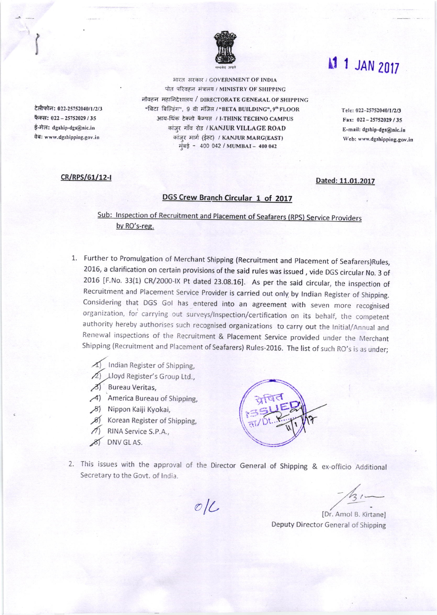

आरत सरकार / GOVERNMENT OF INDIA पोत परिवहन संत्रालय / MINISTRY OF SHIPPING नौवहन महानिदेशालय / DIRECTORATE GENERAL OF SHIPPING "बिटा बिल्डिंग", 9 वी मंजिल / "BETA BUILDING", 9" FLOOR आय-थिंक टेक्नो कैम्पस / I-THINK TECHNO CAMPUS कांज़र गाँव रोड / KANJUR VILLAGE ROAD कांज़्र मार्ग (ईस्ट) / KANJUR MARG(EAST) मुंबई - 400 042 / MUMBAI - 400 042

## cR/RPS/61/12-1 **Dated: 11.01.2017**

टेलीफोन: 022-25752040/1/2/3 फैक्स: 022 - 25752029 / 35 ई-मेल: dgship-dgs@nic.in वेबः www.dgshipping.gov.in

## DGS Crew Branch Circular 1 of 2017

Sub: Inspection of Recruitment and Placement of Seafarers (RPS) Service Providers bv RO's-reg.

- 1. Further to Promulgation of Merchant Shipping (Recruitment and Placement of Seafarers)Rules, 2015, a clarification on certain provisions of the said rules was issued , vide DGS circular No. 3 of 2016 [F.No. 33(1) CR/2000-IX Pt dated 23.08.16]. As per the said circular, the inspection of Recruitment and Placement Service Provider is carried out only by Indian Register of Shipping. Considering that DGS Gol has entered into an agreement with seven more recognised organization, for carrying out surveys/Inspection/certification on its behalf, the competent authority hereby authorises such recognised organizations to carry out the Initial/Annual and Renewal inspections of the Recruitment & placement service provided under the Merchant Shipping (Recruitment and Placement of Seafarers) Rules-2016. The list of such RO's is as under;
	- Indian Register of Shipping,
	- $\sqrt{2}$ ) Lloyd Register's Group Ltd.,
	- z) Bureau Veritas,
	- 4) America Bureau of Shipping,
	- 81 Nippon Kaiji Kyokai,
	- $\beta$  Korean Register of Shipping,
	- RINA Service S.P.A.,
	- 8) DNV GL AS.



This issues with the approval of the Director General of Shipping & ex-officio Additional Secretary to the Govt. of India.

OIL

 $7/31-$ ,/-

IDr. Amol B. Kirtane] Deputy Director General of Shipping

## **A1 1 JAN 2017**

Tele: 022-25752040/1/2/3 Fax: 022 - 25752029 / 35 E-mril: dgship-dgs@nic.in Web: www.dgshipping.gov.in